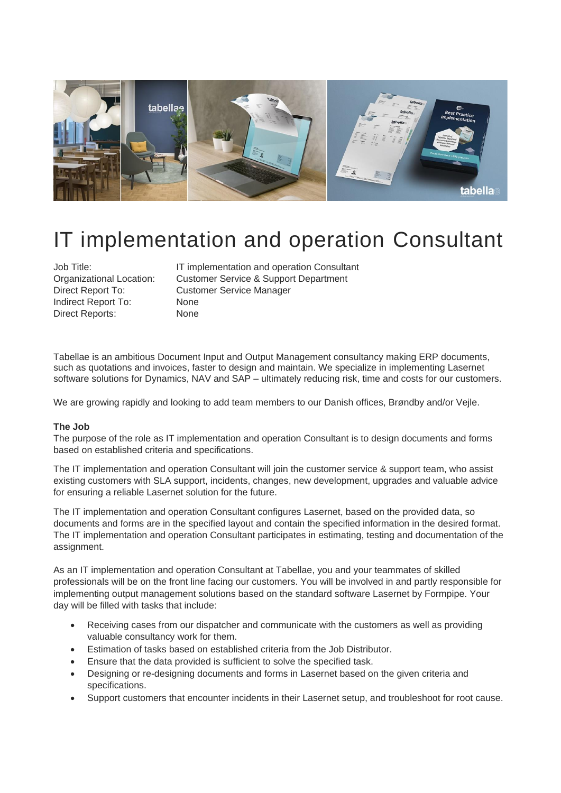

# IT implementation and operation Consultant

Indirect Report To: None Direct Reports: None

Job Title: IT implementation and operation Consultant Organizational Location: Customer Service & Support Department Direct Report To: Customer Service Manager

Tabellae is an ambitious Document Input and Output Management consultancy making ERP documents, such as quotations and invoices, faster to design and maintain. We specialize in implementing Lasernet software solutions for Dynamics, NAV and SAP – ultimately reducing risk, time and costs for our customers.

We are growing rapidly and looking to add team members to our Danish offices, Brøndby and/or Vejle.

#### **The Job**

The purpose of the role as IT implementation and operation Consultant is to design documents and forms based on established criteria and specifications.

The IT implementation and operation Consultant will join the customer service & support team, who assist existing customers with SLA support, incidents, changes, new development, upgrades and valuable advice for ensuring a reliable Lasernet solution for the future.

The IT implementation and operation Consultant configures Lasernet, based on the provided data, so documents and forms are in the specified layout and contain the specified information in the desired format. The IT implementation and operation Consultant participates in estimating, testing and documentation of the assignment.

As an IT implementation and operation Consultant at Tabellae, you and your teammates of skilled professionals will be on the front line facing our customers. You will be involved in and partly responsible for implementing output management solutions based on the standard software Lasernet by Formpipe. Your day will be filled with tasks that include:

- Receiving cases from our dispatcher and communicate with the customers as well as providing valuable consultancy work for them.
- Estimation of tasks based on established criteria from the Job Distributor.
- Ensure that the data provided is sufficient to solve the specified task.
- Designing or re-designing documents and forms in Lasernet based on the given criteria and specifications.
- Support customers that encounter incidents in their Lasernet setup, and troubleshoot for root cause.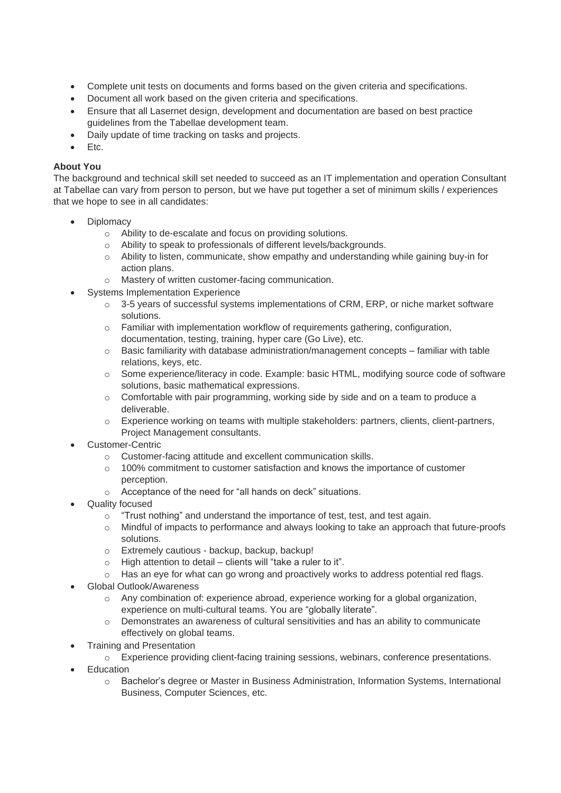- Complete unit tests on documents and forms based on the given criteria and specifications.
- Document all work based on the given criteria and specifications.
- Ensure that all Lasernet design, development and documentation are based on best practice guidelines from the Tabellae development team.
- Daily update of time tracking on tasks and projects.
- Etc.

## **About You**

The background and technical skill set needed to succeed as an IT implementation and operation Consultant at Tabellae can vary from person to person, but we have put together a set of minimum skills / experiences that we hope to see in all candidates:

- **Diplomacy** 
	- o Ability to de-escalate and focus on providing solutions.
	- o Ability to speak to professionals of different levels/backgrounds.
	- $\circ$  Ability to listen, communicate, show empathy and understanding while gaining buy-in for action plans.
	- o Mastery of written customer-facing communication.
	- Systems Implementation Experience
		- 3-5 years of successful systems implementations of CRM, ERP, or niche market software solutions.
		- $\circ$  Familiar with implementation workflow of requirements gathering, configuration, documentation, testing, training, hyper care (Go Live), etc.
		- $\circ$  Basic familiarity with database administration/management concepts familiar with table relations, keys, etc.
		- o Some experience/literacy in code. Example: basic HTML, modifying source code of software solutions, basic mathematical expressions.
		- o Comfortable with pair programming, working side by side and on a team to produce a deliverable.
		- o Experience working on teams with multiple stakeholders: partners, clients, client-partners, Project Management consultants.
- Customer-Centric
	- o Customer-facing attitude and excellent communication skills.
	- o 100% commitment to customer satisfaction and knows the importance of customer perception.
	- o Acceptance of the need for "all hands on deck" situations.
- Quality focused
	- $\circ$  "Trust nothing" and understand the importance of test, test, and test again.
	- o Mindful of impacts to performance and always looking to take an approach that future-proofs solutions.
	- o Extremely cautious backup, backup, backup!
	- o High attention to detail clients will "take a ruler to it".
	- $\circ$  Has an eye for what can go wrong and proactively works to address potential red flags.
- Global Outlook/Awareness
	- o Any combination of: experience abroad, experience working for a global organization, experience on multi-cultural teams. You are "globally literate".
	- o Demonstrates an awareness of cultural sensitivities and has an ability to communicate effectively on global teams.
- Training and Presentation
	- o Experience providing client-facing training sessions, webinars, conference presentations.
- **Education** 
	- o Bachelor's degree or Master in Business Administration, Information Systems, International Business, Computer Sciences, etc.